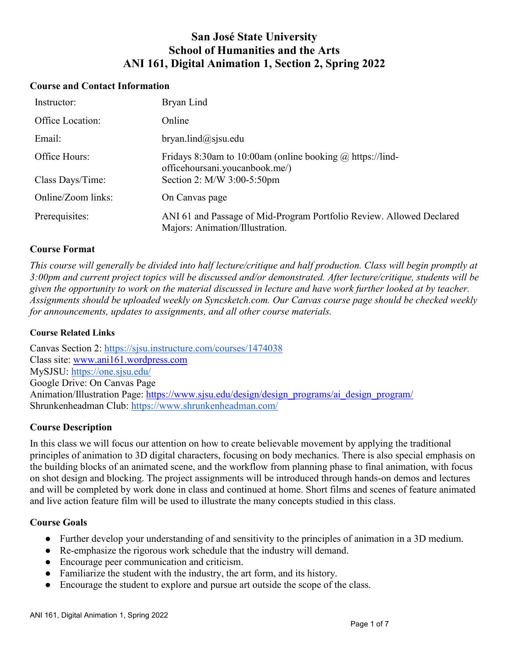# **San José State University School of Humanities and the Arts ANI 161, Digital Animation 1, Section 2, Spring 2022**

#### **Course and Contact Information**

| Instructor:        | Bryan Lind                                                                                              |
|--------------------|---------------------------------------------------------------------------------------------------------|
| Office Location:   | Online                                                                                                  |
| Email:             | $b$ ryan.lind@sjsu.edu                                                                                  |
| Office Hours:      | Fridays 8:30am to 10:00am (online booking $\omega$ https://lind-<br>officehoursani.youcanbook.me/)      |
| Class Days/Time:   | Section 2: M/W 3:00-5:50pm                                                                              |
| Online/Zoom links: | On Canvas page                                                                                          |
| Prerequisites:     | ANI 61 and Passage of Mid-Program Portfolio Review. Allowed Declared<br>Majors: Animation/Illustration. |

#### **Course Format**

*This course will generally be divided into half lecture/critique and half production. Class will begin promptly at 3:00pm and current project topics will be discussed and/or demonstrated. After lecture/critique, students will be given the opportunity to work on the material discussed in lecture and have work further looked at by teacher. Assignments should be uploaded weekly on Syncsketch.com. Our Canvas course page should be checked weekly for announcements, updates to assignments, and all other course materials.*

#### **Course Related Links**

Canvas Section 2:<https://sjsu.instructure.com/courses/1474038> Class site: [www.ani161.wordpress.com](http://www.ani161.wordpress.com/) MySJSU:<https://one.sjsu.edu/> Google Drive: On Canvas Page Animation/Illustration Page: [https://www.sjsu.edu/design/design\\_programs/ai\\_design\\_program/](https://www.sjsu.edu/design/design_programs/ai_design_program/) Shrunkenheadman Club:<https://www.shrunkenheadman.com/>

#### **Course Description**

In this class we will focus our attention on how to create believable movement by applying the traditional principles of animation to 3D digital characters, focusing on body mechanics. There is also special emphasis on the building blocks of an animated scene, and the workflow from planning phase to final animation, with focus on shot design and blocking. The project assignments will be introduced through hands-on demos and lectures and will be completed by work done in class and continued at home. Short films and scenes of feature animated and live action feature film will be used to illustrate the many concepts studied in this class.

#### **Course Goals**

- Further develop your understanding of and sensitivity to the principles of animation in a 3D medium.
- Re-emphasize the rigorous work schedule that the industry will demand.
- Encourage peer communication and criticism.
- Familiarize the student with the industry, the art form, and its history.
- Encourage the student to explore and pursue art outside the scope of the class.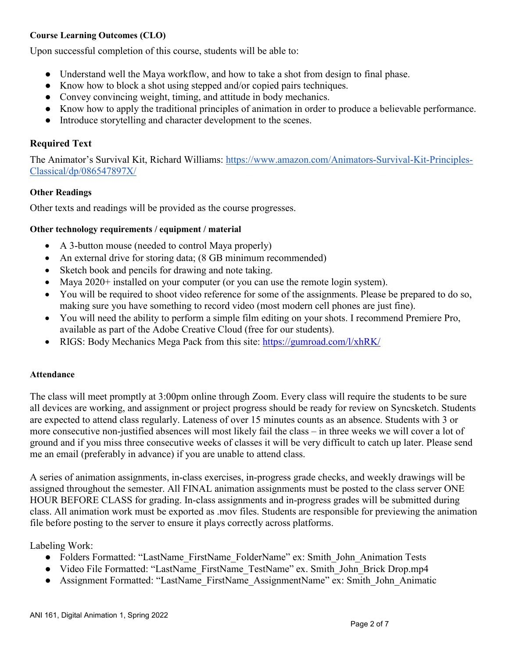## **Course Learning Outcomes (CLO)**

Upon successful completion of this course, students will be able to:

- Understand well the Maya workflow, and how to take a shot from design to final phase.
- Know how to block a shot using stepped and/or copied pairs techniques.
- Convey convincing weight, timing, and attitude in body mechanics.
- Know how to apply the traditional principles of animation in order to produce a believable performance.
- Introduce storytelling and character development to the scenes.

## **Required Text**

The Animator's Survival Kit, Richard Williams: [https://www.amazon.com/Animators-Survival-Kit-Principles-](https://www.amazon.com/Animators-Survival-Kit-Principles-Classical/dp/086547897X/)[Classical/dp/086547897X/](https://www.amazon.com/Animators-Survival-Kit-Principles-Classical/dp/086547897X/)

#### **Other Readings**

Other texts and readings will be provided as the course progresses.

#### **Other technology requirements / equipment / material**

- A 3-button mouse (needed to control Maya properly)
- An external drive for storing data; (8 GB minimum recommended)
- Sketch book and pencils for drawing and note taking.
- Maya 2020+ installed on your computer (or you can use the remote login system).
- You will be required to shoot video reference for some of the assignments. Please be prepared to do so, making sure you have something to record video (most modern cell phones are just fine).
- You will need the ability to perform a simple film editing on your shots. I recommend Premiere Pro, available as part of the Adobe Creative Cloud (free for our students).
- RIGS: Body Mechanics Mega Pack from this site:<https://gumroad.com/l/xhRK/>

#### **Attendance**

The class will meet promptly at 3:00pm online through Zoom. Every class will require the students to be sure all devices are working, and assignment or project progress should be ready for review on Syncsketch. Students are expected to attend class regularly. Lateness of over 15 minutes counts as an absence. Students with 3 or more consecutive non-justified absences will most likely fail the class – in three weeks we will cover a lot of ground and if you miss three consecutive weeks of classes it will be very difficult to catch up later. Please send me an email (preferably in advance) if you are unable to attend class.

A series of animation assignments, in-class exercises, in-progress grade checks, and weekly drawings will be assigned throughout the semester. All FINAL animation assignments must be posted to the class server ONE HOUR BEFORE CLASS for grading. In-class assignments and in-progress grades will be submitted during class. All animation work must be exported as .mov files. Students are responsible for previewing the animation file before posting to the server to ensure it plays correctly across platforms.

Labeling Work:

- Folders Formatted: "LastName\_FirstName\_FolderName" ex: Smith\_John\_Animation Tests
- Video File Formatted: "LastName\_FirstName\_TestName" ex. Smith\_John\_Brick Drop.mp4
- Assignment Formatted: "LastName\_FirstName\_AssignmentName" ex: Smith\_John\_Animatic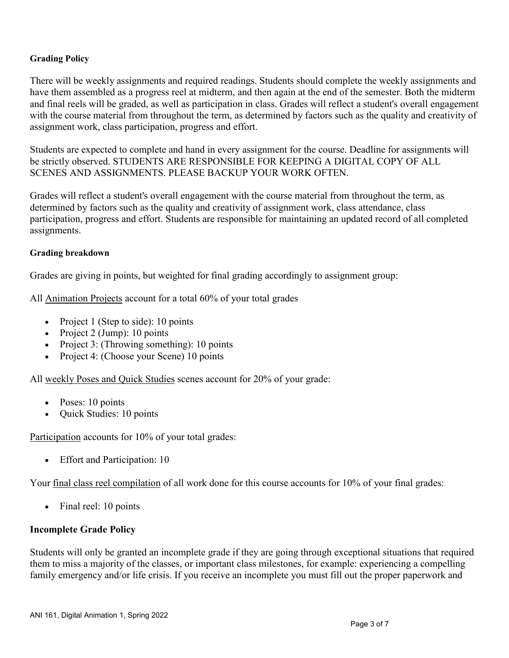## **Grading Policy**

There will be weekly assignments and required readings. Students should complete the weekly assignments and have them assembled as a progress reel at midterm, and then again at the end of the semester. Both the midterm and final reels will be graded, as well as participation in class. Grades will reflect a student's overall engagement with the course material from throughout the term, as determined by factors such as the quality and creativity of assignment work, class participation, progress and effort.

Students are expected to complete and hand in every assignment for the course. Deadline for assignments will be strictly observed. STUDENTS ARE RESPONSIBLE FOR KEEPING A DIGITAL COPY OF ALL SCENES AND ASSIGNMENTS. PLEASE BACKUP YOUR WORK OFTEN.

Grades will reflect a student's overall engagement with the course material from throughout the term, as determined by factors such as the quality and creativity of assignment work, class attendance, class participation, progress and effort. Students are responsible for maintaining an updated record of all completed assignments.

#### **Grading breakdown**

Grades are giving in points, but weighted for final grading accordingly to assignment group:

All Animation Projects account for a total 60% of your total grades

- Project 1 (Step to side): 10 points
- Project 2 (Jump): 10 points
- Project 3: (Throwing something): 10 points
- Project 4: (Choose your Scene) 10 points

All weekly Poses and Quick Studies scenes account for 20% of your grade:

- Poses: 10 points
- Quick Studies: 10 points

Participation accounts for 10% of your total grades:

• Effort and Participation: 10

Your final class reel compilation of all work done for this course accounts for 10% of your final grades:

• Final reel: 10 points

#### **Incomplete Grade Policy**

Students will only be granted an incomplete grade if they are going through exceptional situations that required them to miss a majority of the classes, or important class milestones, for example: experiencing a compelling family emergency and/or life crisis. If you receive an incomplete you must fill out the proper paperwork and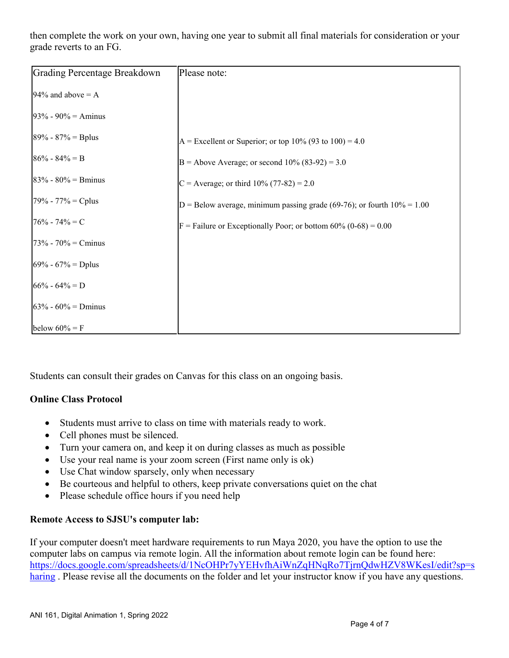then complete the work on your own, having one year to submit all final materials for consideration or your grade reverts to an FG.

| Grading Percentage Breakdown | Please note:                                                              |
|------------------------------|---------------------------------------------------------------------------|
| 94% and above $= A$          |                                                                           |
| $93\% - 90\% =$ Aminus       |                                                                           |
| $89\% - 87\% = Bplus$        | A = Excellent or Superior; or top 10% (93 to 100) = 4.0                   |
| $86\% - 84\% = B$            | B = Above Average; or second $10\%$ (83-92) = 3.0                         |
| $83\% - 80\% =$ Bminus       | C = Average; or third $10\%$ (77-82) = 2.0                                |
| $79\% - 77\% = Cplus$        | D = Below average, minimum passing grade (69-76); or fourth $10\% = 1.00$ |
| $76\% - 74\% = C$            | $F =$ Failure or Exceptionally Poor; or bottom 60% (0-68) = 0.00          |
| $73% - 70% =$ Cminus         |                                                                           |
| $69\% - 67\% = Dplus$        |                                                                           |
| $66\% - 64\% = D$            |                                                                           |
| $63\% - 60\% =$ Dminus       |                                                                           |
| below $60\% = F$             |                                                                           |

Students can consult their grades on Canvas for this class on an ongoing basis.

# **Online Class Protocol**

- Students must arrive to class on time with materials ready to work.
- Cell phones must be silenced.
- Turn your camera on, and keep it on during classes as much as possible
- Use your real name is your zoom screen (First name only is ok)
- Use Chat window sparsely, only when necessary
- Be courteous and helpful to others, keep private conversations quiet on the chat
- Please schedule office hours if you need help

# **Remote Access to SJSU's computer lab:**

If your computer doesn't meet hardware requirements to run Maya 2020, you have the option to use the computer labs on campus via remote login. All the information about remote login can be found here: [https://docs.google.com/spreadsheets/d/1NcOHPr7yYEHvfhAiWnZqHNqRo7TjrnQdwHZV8WKesI/edit?sp=s](https://docs.google.com/spreadsheets/d/1NcOHPr7yYEHvfhAiWnZqHNqRo7TjrnQdwHZV8WKesI/edit?sp=sharing) [haring](https://docs.google.com/spreadsheets/d/1NcOHPr7yYEHvfhAiWnZqHNqRo7TjrnQdwHZV8WKesI/edit?sp=sharing) . Please revise all the documents on the folder and let your instructor know if you have any questions.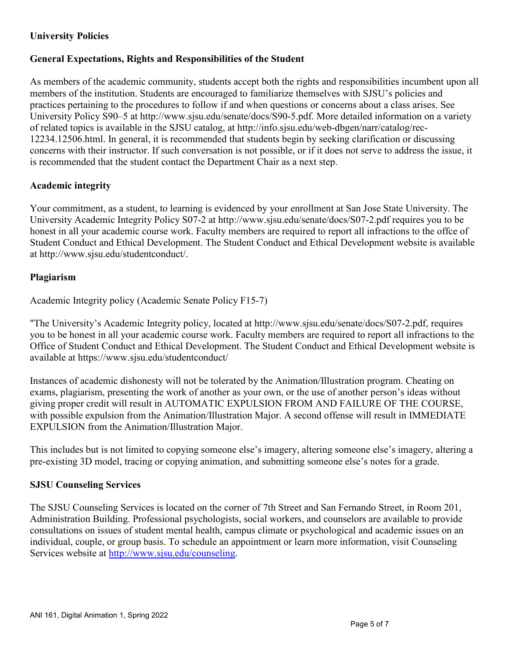# **University Policies**

# **General Expectations, Rights and Responsibilities of the Student**

As members of the academic community, students accept both the rights and responsibilities incumbent upon all members of the institution. Students are encouraged to familiarize themselves with SJSU's policies and practices pertaining to the procedures to follow if and when questions or concerns about a class arises. See University Policy S90–5 at http://www.sjsu.edu/senate/docs/S90-5.pdf. More detailed information on a variety of related topics is available in the SJSU catalog, at http://info.sjsu.edu/web-dbgen/narr/catalog/rec-12234.12506.html. In general, it is recommended that students begin by seeking clarification or discussing concerns with their instructor. If such conversation is not possible, or if it does not serve to address the issue, it is recommended that the student contact the Department Chair as a next step.

# **Academic integrity**

Your commitment, as a student, to learning is evidenced by your enrollment at San Jose State University. The University Academic Integrity Policy S07-2 at http://www.sjsu.edu/senate/docs/S07-2.pdf requires you to be honest in all your academic course work. Faculty members are required to report all infractions to the offce of Student Conduct and Ethical Development. The Student Conduct and Ethical Development website is available at http://www.sjsu.edu/studentconduct/.

# **Plagiarism**

Academic Integrity policy (Academic Senate Policy F15-7)

"The University's Academic Integrity policy, located at http://www.sjsu.edu/senate/docs/S07-2.pdf, requires you to be honest in all your academic course work. Faculty members are required to report all infractions to the Office of Student Conduct and Ethical Development. The Student Conduct and Ethical Development website is available at https://www.sjsu.edu/studentconduct/

Instances of academic dishonesty will not be tolerated by the Animation/Illustration program. Cheating on exams, plagiarism, presenting the work of another as your own, or the use of another person's ideas without giving proper credit will result in AUTOMATIC EXPULSION FROM AND FAILURE OF THE COURSE, with possible expulsion from the Animation/Illustration Major. A second offense will result in IMMEDIATE EXPULSION from the Animation/Illustration Major.

This includes but is not limited to copying someone else's imagery, altering someone else's imagery, altering a pre-existing 3D model, tracing or copying animation, and submitting someone else's notes for a grade.

# **SJSU Counseling Services**

The SJSU Counseling Services is located on the corner of 7th Street and San Fernando Street, in Room 201, Administration Building. Professional psychologists, social workers, and counselors are available to provide consultations on issues of student mental health, campus climate or psychological and academic issues on an individual, couple, or group basis. To schedule an appointment or learn more information, visit Counseling Services website at [http://www.sjsu.edu/counseling.](http://www.sjsu.edu/counseling)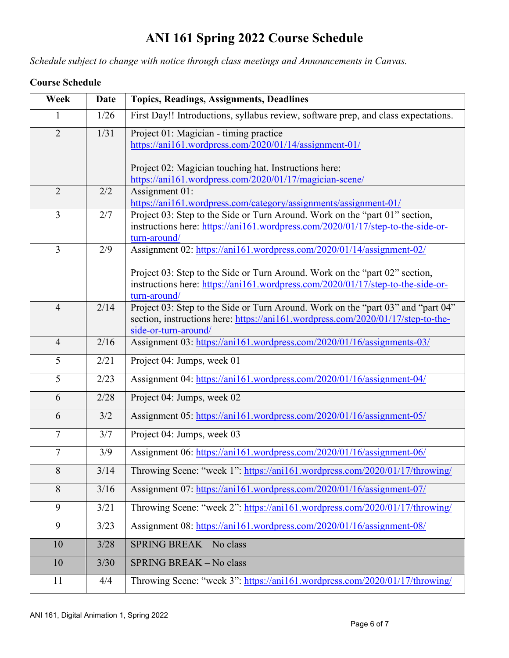# **ANI 161 Spring 2022 Course Schedule**

*Schedule subject to change with notice through class meetings and Announcements in Canvas.*

# **Course Schedule**

| Week           | <b>Date</b> | <b>Topics, Readings, Assignments, Deadlines</b>                                                                                                                                              |
|----------------|-------------|----------------------------------------------------------------------------------------------------------------------------------------------------------------------------------------------|
|                | 1/26        | First Day!! Introductions, syllabus review, software prep, and class expectations.                                                                                                           |
| $\overline{2}$ | 1/31        | Project 01: Magician - timing practice<br>https://ani161.wordpress.com/2020/01/14/assignment-01/                                                                                             |
|                |             | Project 02: Magician touching hat. Instructions here:<br>https://ani161.wordpress.com/2020/01/17/magician-scene/                                                                             |
| $\overline{2}$ | 2/2         | Assignment 01:<br>https://ani161.wordpress.com/category/assignments/assignment-01/                                                                                                           |
| $\overline{3}$ | 2/7         | Project 03: Step to the Side or Turn Around. Work on the "part 01" section,<br>instructions here: https://ani161.wordpress.com/2020/01/17/step-to-the-side-or-<br>turn-around/               |
| $\overline{3}$ | 2/9         | Assignment 02: https://ani161.wordpress.com/2020/01/14/assignment-02/                                                                                                                        |
|                |             | Project 03: Step to the Side or Turn Around. Work on the "part 02" section,<br>instructions here: https://ani161.wordpress.com/2020/01/17/step-to-the-side-or-<br>turn-around/               |
| $\overline{4}$ | 2/14        | Project 03: Step to the Side or Turn Around. Work on the "part 03" and "part 04"<br>section, instructions here: https://ani161.wordpress.com/2020/01/17/step-to-the-<br>side-or-turn-around/ |
| $\overline{4}$ | 2/16        | Assignment 03: https://ani161.wordpress.com/2020/01/16/assignments-03/                                                                                                                       |
| 5              | 2/21        | Project 04: Jumps, week 01                                                                                                                                                                   |
| 5              | 2/23        | Assignment 04: https://ani161.wordpress.com/2020/01/16/assignment-04/                                                                                                                        |
| 6              | 2/28        | Project 04: Jumps, week 02                                                                                                                                                                   |
| 6              | 3/2         | Assignment 05: https://ani161.wordpress.com/2020/01/16/assignment-05/                                                                                                                        |
| $\tau$         | 3/7         | Project 04: Jumps, week 03                                                                                                                                                                   |
| $\overline{7}$ | 3/9         | Assignment 06: https://ani161.wordpress.com/2020/01/16/assignment-06/                                                                                                                        |
| 8              | 3/14        | Throwing Scene: "week 1": https://ani161.wordpress.com/2020/01/17/throwing/                                                                                                                  |
| $\overline{8}$ | $3/16$      | Assignment 07: https://ani161.wordpress.com/2020/01/16/assignment-07/                                                                                                                        |
| 9              | 3/21        | Throwing Scene: "week 2": https://ani161.wordpress.com/2020/01/17/throwing/                                                                                                                  |
| 9              | 3/23        | Assignment 08: https://ani161.wordpress.com/2020/01/16/assignment-08/                                                                                                                        |
| 10             | 3/28        | SPRING BREAK - No class                                                                                                                                                                      |
| 10             | 3/30        | SPRING BREAK - No class                                                                                                                                                                      |
| 11             | 4/4         | Throwing Scene: "week 3": https://ani161.wordpress.com/2020/01/17/throwing/                                                                                                                  |